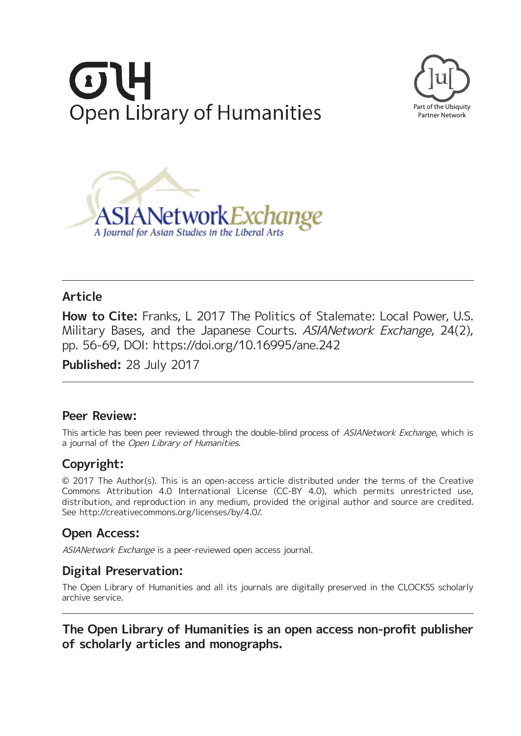





# **Article**

**How to Cite:** Franks, L 2017 The Politics of Stalemate: Local Power, U.S. Military Bases, and the Japanese Courts, ASIANetwork Exchange, 24(2), pp. 56-69, DOI:<https://doi.org/10.16995/ane.242>

**Published:** 28 July 2017

# **Peer Review:**

This article has been peer reviewed through the double-blind process of ASIANetwork Exchange, which is a journal of the Open Library of Humanities.

# **Copyright:**

© 2017 The Author(s). This is an open-access article distributed under the terms of the Creative Commons Attribution 4.0 International License (CC-BY 4.0), which permits unrestricted use, distribution, and reproduction in any medium, provided the original author and source are credited. See [http://creativecommons.org/licenses/by/4.0/.](http://creativecommons.org/licenses/by/4.0/)

# **Open Access:**

ASIANetwork Exchange is a peer-reviewed open access journal.

# **Digital Preservation:**

The Open Library of Humanities and all its journals are digitally preserved in the CLOCKSS scholarly archive service.

**The Open Library of Humanities is an open access non-profit publisher of scholarly articles and monographs.**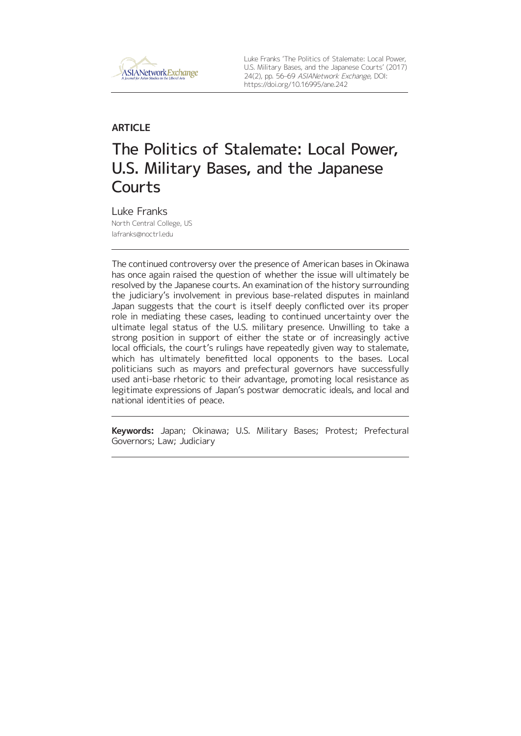

Luke Franks 'The Politics of Stalemate: Local Power, U.S. Military Bases, and the Japanese Courts' (2017) 24(2), pp. 56–69 ASIANetwork Exchange, DOI: <https://doi.org/10.16995/ane.242>

# **ARTICLE** The Politics of Stalemate: Local Power, U.S. Military Bases, and the Japanese **Courts**

Luke Franks North Central College, US [lafranks@noctrl.edu](mailto:lafranks@noctrl.edu)

The continued controversy over the presence of American bases in Okinawa has once again raised the question of whether the issue will ultimately be resolved by the Japanese courts. An examination of the history surrounding the judiciary's involvement in previous base-related disputes in mainland Japan suggests that the court is itself deeply conflicted over its proper role in mediating these cases, leading to continued uncertainty over the ultimate legal status of the U.S. military presence. Unwilling to take a strong position in support of either the state or of increasingly active local officials, the court's rulings have repeatedly given way to stalemate, which has ultimately benefitted local opponents to the bases. Local politicians such as mayors and prefectural governors have successfully used anti-base rhetoric to their advantage, promoting local resistance as legitimate expressions of Japan's postwar democratic ideals, and local and national identities of peace.

**Keywords:** Japan; Okinawa; U.S. Military Bases; Protest; Prefectural Governors; Law; Judiciary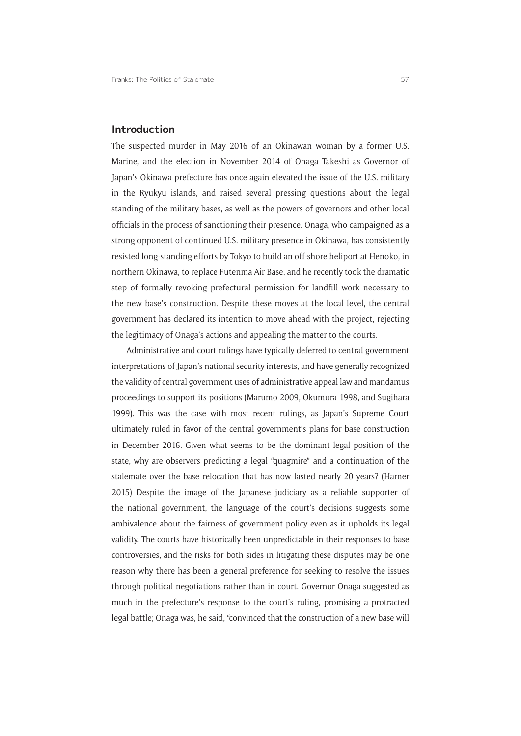### **Introduction**

The suspected murder in May 2016 of an Okinawan woman by a former U.S. Marine, and the election in November 2014 of Onaga Takeshi as Governor of Japan's Okinawa prefecture has once again elevated the issue of the U.S. military in the Ryukyu islands, and raised several pressing questions about the legal standing of the military bases, as well as the powers of governors and other local officials in the process of sanctioning their presence. Onaga, who campaigned as a strong opponent of continued U.S. military presence in Okinawa, has consistently resisted long-standing efforts by Tokyo to build an off-shore heliport at Henoko, in northern Okinawa, to replace Futenma Air Base, and he recently took the dramatic step of formally revoking prefectural permission for landfill work necessary to the new base's construction. Despite these moves at the local level, the central government has declared its intention to move ahead with the project, rejecting the legitimacy of Onaga's actions and appealing the matter to the courts.

Administrative and court rulings have typically deferred to central government interpretations of Japan's national security interests, and have generally recognized the validity of central government uses of administrative appeal law and mandamus proceedings to support its positions (Marumo 2009, Okumura 1998, and Sugihara 1999). This was the case with most recent rulings, as Japan's Supreme Court ultimately ruled in favor of the central government's plans for base construction in December 2016. Given what seems to be the dominant legal position of the state, why are observers predicting a legal "quagmire" and a continuation of the stalemate over the base relocation that has now lasted nearly 20 years? (Harner 2015) Despite the image of the Japanese judiciary as a reliable supporter of the national government, the language of the court's decisions suggests some ambivalence about the fairness of government policy even as it upholds its legal validity. The courts have historically been unpredictable in their responses to base controversies, and the risks for both sides in litigating these disputes may be one reason why there has been a general preference for seeking to resolve the issues through political negotiations rather than in court. Governor Onaga suggested as much in the prefecture's response to the court's ruling, promising a protracted legal battle; Onaga was, he said, "convinced that the construction of a new base will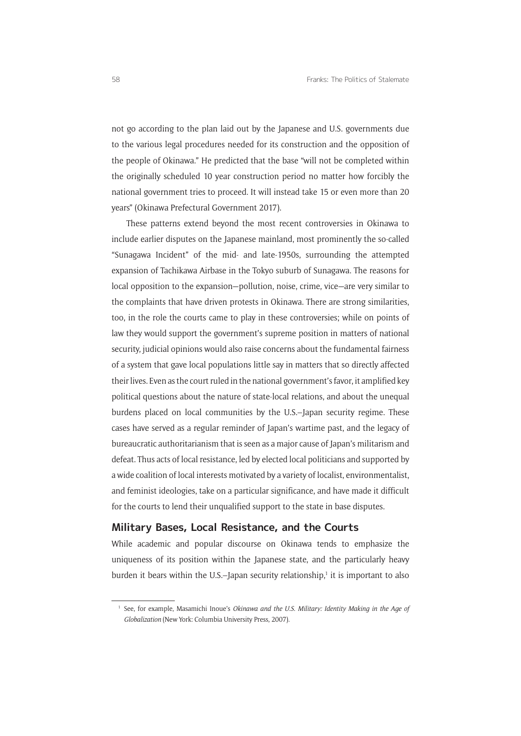not go according to the plan laid out by the Japanese and U.S. governments due to the various legal procedures needed for its construction and the opposition of the people of Okinawa." He predicted that the base "will not be completed within the originally scheduled 10 year construction period no matter how forcibly the national government tries to proceed. It will instead take 15 or even more than 20 years" (Okinawa Prefectural Government 2017).

These patterns extend beyond the most recent controversies in Okinawa to include earlier disputes on the Japanese mainland, most prominently the so-called "Sunagawa Incident" of the mid- and late-1950s, surrounding the attempted expansion of Tachikawa Airbase in the Tokyo suburb of Sunagawa. The reasons for local opposition to the expansion—pollution, noise, crime, vice—are very similar to the complaints that have driven protests in Okinawa. There are strong similarities, too, in the role the courts came to play in these controversies; while on points of law they would support the government's supreme position in matters of national security, judicial opinions would also raise concerns about the fundamental fairness of a system that gave local populations little say in matters that so directly affected their lives. Even as the court ruled in the national government's favor, it amplified key political questions about the nature of state-local relations, and about the unequal burdens placed on local communities by the U.S.–Japan security regime. These cases have served as a regular reminder of Japan's wartime past, and the legacy of bureaucratic authoritarianism that is seen as a major cause of Japan's militarism and defeat. Thus acts of local resistance, led by elected local politicians and supported by a wide coalition of local interests motivated by a variety of localist, environmentalist, and feminist ideologies, take on a particular significance, and have made it difficult for the courts to lend their unqualified support to the state in base disputes.

#### **Military Bases, Local Resistance, and the Courts**

While academic and popular discourse on Okinawa tends to emphasize the uniqueness of its position within the Japanese state, and the particularly heavy burden it bears within the U.S.–Japan security relationship,<sup>1</sup> it is important to also

<sup>1</sup> See, for example, Masamichi Inoue's *Okinawa and the U*.*S*. *Military: Identity Making in the Age of Globalization* (New York: Columbia University Press, 2007).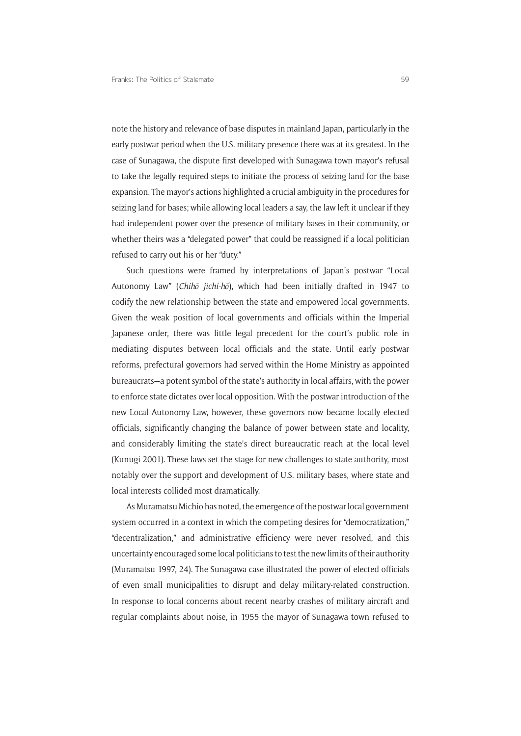note the history and relevance of base disputes in mainland Japan, particularly in the early postwar period when the U.S. military presence there was at its greatest. In the case of Sunagawa, the dispute first developed with Sunagawa town mayor's refusal to take the legally required steps to initiate the process of seizing land for the base expansion. The mayor's actions highlighted a crucial ambiguity in the procedures for seizing land for bases; while allowing local leaders a say, the law left it unclear if they had independent power over the presence of military bases in their community, or whether theirs was a "delegated power" that could be reassigned if a local politician refused to carry out his or her "duty."

Such questions were framed by interpretations of Japan's postwar "Local Autonomy Law" (*Chihō jichi-hō*), which had been initially drafted in 1947 to codify the new relationship between the state and empowered local governments. Given the weak position of local governments and officials within the Imperial Japanese order, there was little legal precedent for the court's public role in mediating disputes between local officials and the state. Until early postwar reforms, prefectural governors had served within the Home Ministry as appointed bureaucrats—a potent symbol of the state's authority in local affairs, with the power to enforce state dictates over local opposition. With the postwar introduction of the new Local Autonomy Law, however, these governors now became locally elected officials, significantly changing the balance of power between state and locality, and considerably limiting the state's direct bureaucratic reach at the local level (Kunugi 2001). These laws set the stage for new challenges to state authority, most notably over the support and development of U.S. military bases, where state and local interests collided most dramatically.

As Muramatsu Michio has noted, the emergence of the postwar local government system occurred in a context in which the competing desires for "democratization," "decentralization," and administrative efficiency were never resolved, and this uncertainty encouraged some local politicians to test the new limits of their authority (Muramatsu 1997, 24). The Sunagawa case illustrated the power of elected officials of even small municipalities to disrupt and delay military-related construction. In response to local concerns about recent nearby crashes of military aircraft and regular complaints about noise, in 1955 the mayor of Sunagawa town refused to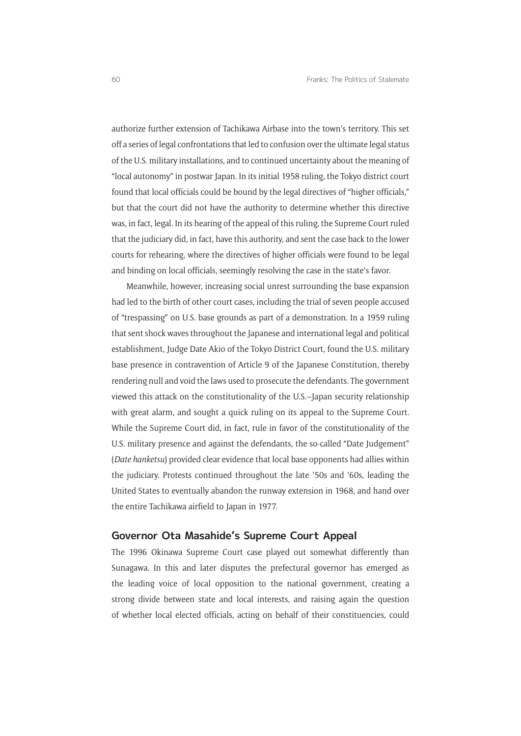authorize further extension of Tachikawa Airbase into the town's territory. This set off a series of legal confrontations that led to confusion over the ultimate legal status of the U.S. military installations, and to continued uncertainty about the meaning of "local autonomy" in postwar Japan. In its initial 1958 ruling, the Tokyo district court found that local officials could be bound by the legal directives of "higher officials," but that the court did not have the authority to determine whether this directive was, in fact, legal. In its hearing of the appeal of this ruling, the Supreme Court ruled that the judiciary did, in fact, have this authority, and sent the case back to the lower courts for rehearing, where the directives of higher officials were found to be legal and binding on local officials, seemingly resolving the case in the state's favor.

Meanwhile, however, increasing social unrest surrounding the base expansion had led to the birth of other court cases, including the trial of seven people accused of "trespassing" on U.S. base grounds as part of a demonstration. In a 1959 ruling that sent shock waves throughout the Japanese and international legal and political establishment, Judge Date Akio of the Tokyo District Court, found the U.S. military base presence in contravention of Article 9 of the Japanese Constitution, thereby rendering null and void the laws used to prosecute the defendants. The government viewed this attack on the constitutionality of the U.S.–Japan security relationship with great alarm, and sought a quick ruling on its appeal to the Supreme Court. While the Supreme Court did, in fact, rule in favor of the constitutionality of the U.S. military presence and against the defendants, the so-called "Date Judgement" (*Date hanketsu*) provided clear evidence that local base opponents had allies within the judiciary. Protests continued throughout the late '50s and '60s, leading the United States to eventually abandon the runway extension in 1968, and hand over the entire Tachikawa airfield to Japan in 1977.

### **Governor Ota Masahide's Supreme Court Appeal**

The 1996 Okinawa Supreme Court case played out somewhat differently than Sunagawa. In this and later disputes the prefectural governor has emerged as the leading voice of local opposition to the national government, creating a strong divide between state and local interests, and raising again the question of whether local elected officials, acting on behalf of their constituencies, could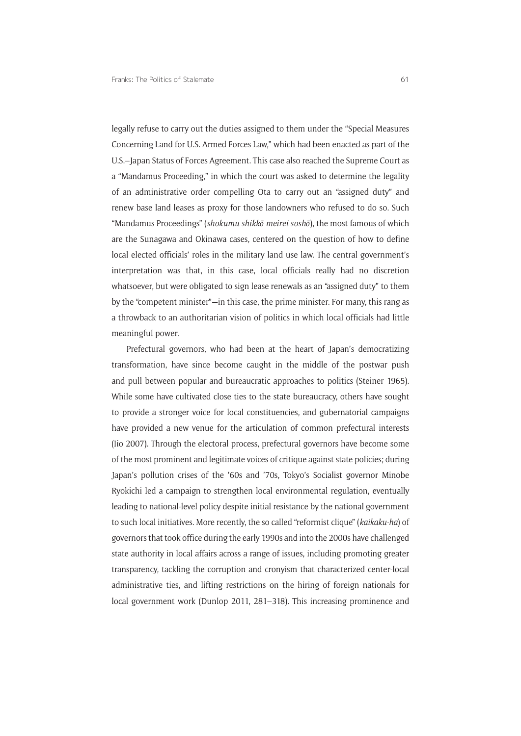legally refuse to carry out the duties assigned to them under the "Special Measures Concerning Land for U.S. Armed Forces Law," which had been enacted as part of the U.S.–Japan Status of Forces Agreement. This case also reached the Supreme Court as a "Mandamus Proceeding," in which the court was asked to determine the legality of an administrative order compelling Ota to carry out an "assigned duty" and renew base land leases as proxy for those landowners who refused to do so. Such "Mandamus Proceedings" (*shokumu shikkō meirei soshō*), the most famous of which are the Sunagawa and Okinawa cases, centered on the question of how to define local elected officials' roles in the military land use law. The central government's interpretation was that, in this case, local officials really had no discretion whatsoever, but were obligated to sign lease renewals as an "assigned duty" to them by the "competent minister"—in this case, the prime minister. For many, this rang as a throwback to an authoritarian vision of politics in which local officials had little meaningful power.

Prefectural governors, who had been at the heart of Japan's democratizing transformation, have since become caught in the middle of the postwar push and pull between popular and bureaucratic approaches to politics (Steiner 1965). While some have cultivated close ties to the state bureaucracy, others have sought to provide a stronger voice for local constituencies, and gubernatorial campaigns have provided a new venue for the articulation of common prefectural interests (Iio 2007). Through the electoral process, prefectural governors have become some of the most prominent and legitimate voices of critique against state policies; during Japan's pollution crises of the '60s and '70s, Tokyo's Socialist governor Minobe Ryokichi led a campaign to strengthen local environmental regulation, eventually leading to national-level policy despite initial resistance by the national government to such local initiatives. More recently, the so called "reformist clique" (*kaikaku-ha*) of governors that took office during the early 1990s and into the 2000s have challenged state authority in local affairs across a range of issues, including promoting greater transparency, tackling the corruption and cronyism that characterized center-local administrative ties, and lifting restrictions on the hiring of foreign nationals for local government work (Dunlop 2011, 281–318). This increasing prominence and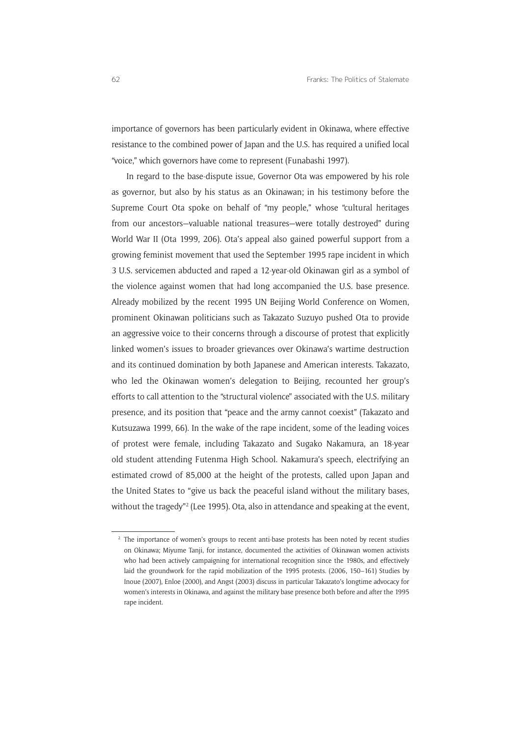importance of governors has been particularly evident in Okinawa, where effective resistance to the combined power of Japan and the U.S. has required a unified local "voice," which governors have come to represent (Funabashi 1997).

In regard to the base-dispute issue, Governor Ota was empowered by his role as governor, but also by his status as an Okinawan; in his testimony before the Supreme Court Ota spoke on behalf of "my people," whose "cultural heritages from our ancestors—valuable national treasures—were totally destroyed" during World War II (Ota 1999, 206). Ota's appeal also gained powerful support from a growing feminist movement that used the September 1995 rape incident in which 3 U.S. servicemen abducted and raped a 12-year-old Okinawan girl as a symbol of the violence against women that had long accompanied the U.S. base presence. Already mobilized by the recent 1995 UN Beijing World Conference on Women, prominent Okinawan politicians such as Takazato Suzuyo pushed Ota to provide an aggressive voice to their concerns through a discourse of protest that explicitly linked women's issues to broader grievances over Okinawa's wartime destruction and its continued domination by both Japanese and American interests. Takazato, who led the Okinawan women's delegation to Beijing, recounted her group's efforts to call attention to the "structural violence" associated with the U.S. military presence, and its position that "peace and the army cannot coexist" (Takazato and Kutsuzawa 1999, 66). In the wake of the rape incident, some of the leading voices of protest were female, including Takazato and Sugako Nakamura, an 18-year old student attending Futenma High School. Nakamura's speech, electrifying an estimated crowd of 85,000 at the height of the protests, called upon Japan and the United States to "give us back the peaceful island without the military bases, without the tragedy"2 (Lee 1995). Ota, also in attendance and speaking at the event,

<sup>&</sup>lt;sup>2</sup> The importance of women's groups to recent anti-base protests has been noted by recent studies on Okinawa; Miyume Tanji, for instance, documented the activities of Okinawan women activists who had been actively campaigning for international recognition since the 1980s, and effectively laid the groundwork for the rapid mobilization of the 1995 protests. (2006, 150–161) Studies by Inoue (2007), Enloe (2000), and Angst (2003) discuss in particular Takazato's longtime advocacy for women's interests in Okinawa, and against the military base presence both before and after the 1995 rape incident.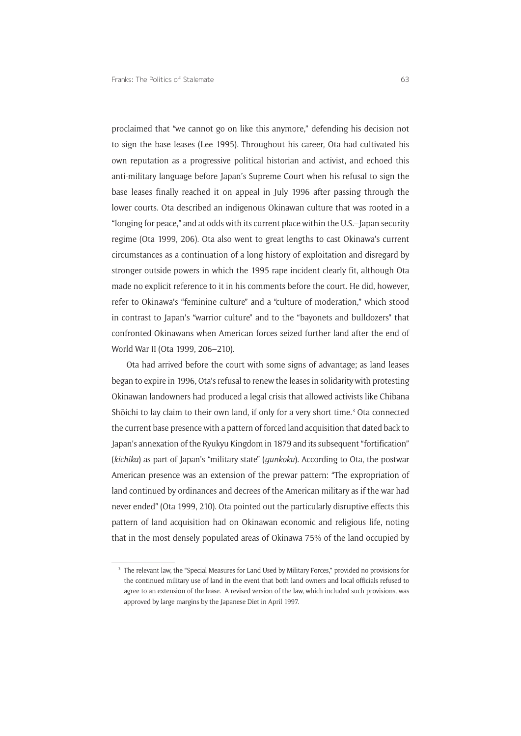proclaimed that "we cannot go on like this anymore," defending his decision not to sign the base leases (Lee 1995). Throughout his career, Ota had cultivated his own reputation as a progressive political historian and activist, and echoed this anti-military language before Japan's Supreme Court when his refusal to sign the base leases finally reached it on appeal in July 1996 after passing through the lower courts. Ota described an indigenous Okinawan culture that was rooted in a "longing for peace," and at odds with its current place within the U.S.–Japan security regime (Ota 1999, 206). Ota also went to great lengths to cast Okinawa's current circumstances as a continuation of a long history of exploitation and disregard by stronger outside powers in which the 1995 rape incident clearly fit, although Ota made no explicit reference to it in his comments before the court. He did, however, refer to Okinawa's "feminine culture" and a "culture of moderation," which stood in contrast to Japan's "warrior culture" and to the "bayonets and bulldozers" that confronted Okinawans when American forces seized further land after the end of World War II (Ota 1999, 206–210).

Ota had arrived before the court with some signs of advantage; as land leases began to expire in 1996, Ota's refusal to renew the leases in solidarity with protesting Okinawan landowners had produced a legal crisis that allowed activists like Chibana Shōichi to lay claim to their own land, if only for a very short time.<sup>3</sup> Ota connected the current base presence with a pattern of forced land acquisition that dated back to Japan's annexation of the Ryukyu Kingdom in 1879 and its subsequent "fortification" (*kichika*) as part of Japan's "military state" (*gunkoku*). According to Ota, the postwar American presence was an extension of the prewar pattern: "The expropriation of land continued by ordinances and decrees of the American military as if the war had never ended" (Ota 1999, 210). Ota pointed out the particularly disruptive effects this pattern of land acquisition had on Okinawan economic and religious life, noting that in the most densely populated areas of Okinawa 75% of the land occupied by

<sup>&</sup>lt;sup>3</sup> The relevant law, the "Special Measures for Land Used by Military Forces," provided no provisions for the continued military use of land in the event that both land owners and local officials refused to agree to an extension of the lease. A revised version of the law, which included such provisions, was approved by large margins by the Japanese Diet in April 1997.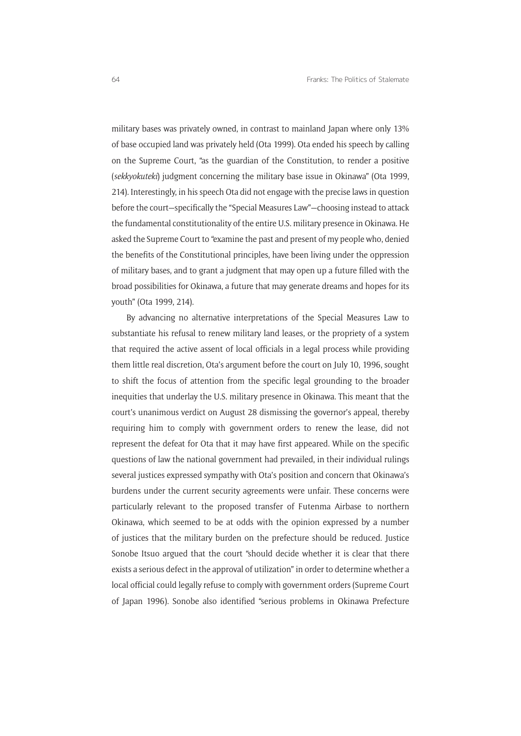military bases was privately owned, in contrast to mainland Japan where only 13% of base occupied land was privately held (Ota 1999). Ota ended his speech by calling on the Supreme Court, "as the guardian of the Constitution, to render a positive (*sekkyokuteki*) judgment concerning the military base issue in Okinawa" (Ota 1999, 214). Interestingly, in his speech Ota did not engage with the precise laws in question before the court—specifically the "Special Measures Law"—choosing instead to attack the fundamental constitutionality of the entire U.S. military presence in Okinawa. He asked the Supreme Court to "examine the past and present of my people who, denied the benefits of the Constitutional principles, have been living under the oppression of military bases, and to grant a judgment that may open up a future filled with the broad possibilities for Okinawa, a future that may generate dreams and hopes for its youth" (Ota 1999, 214).

By advancing no alternative interpretations of the Special Measures Law to substantiate his refusal to renew military land leases, or the propriety of a system that required the active assent of local officials in a legal process while providing them little real discretion, Ota's argument before the court on July 10, 1996, sought to shift the focus of attention from the specific legal grounding to the broader inequities that underlay the U.S. military presence in Okinawa. This meant that the court's unanimous verdict on August 28 dismissing the governor's appeal, thereby requiring him to comply with government orders to renew the lease, did not represent the defeat for Ota that it may have first appeared. While on the specific questions of law the national government had prevailed, in their individual rulings several justices expressed sympathy with Ota's position and concern that Okinawa's burdens under the current security agreements were unfair. These concerns were particularly relevant to the proposed transfer of Futenma Airbase to northern Okinawa, which seemed to be at odds with the opinion expressed by a number of justices that the military burden on the prefecture should be reduced. Justice Sonobe Itsuo argued that the court "should decide whether it is clear that there exists a serious defect in the approval of utilization" in order to determine whether a local official could legally refuse to comply with government orders (Supreme Court of Japan 1996). Sonobe also identified "serious problems in Okinawa Prefecture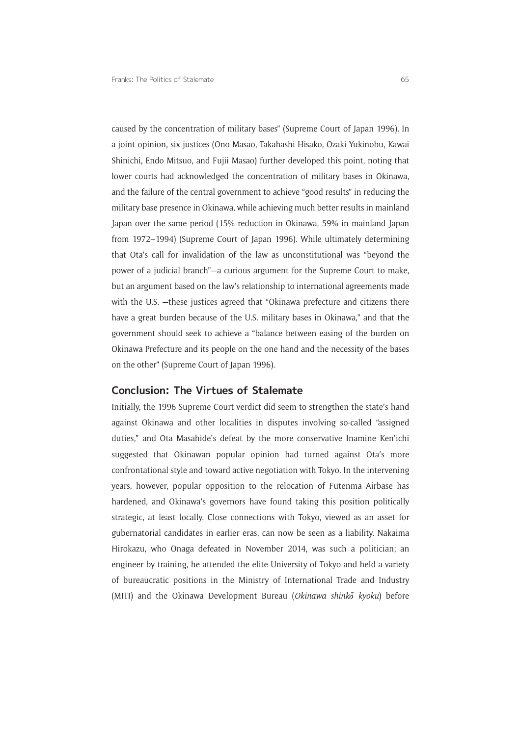caused by the concentration of military bases" (Supreme Court of Japan 1996). In a joint opinion, six justices (Ono Masao, Takahashi Hisako, Ozaki Yukinobu, Kawai Shinichi, Endo Mitsuo, and Fujii Masao) further developed this point, noting that lower courts had acknowledged the concentration of military bases in Okinawa, and the failure of the central government to achieve "good results" in reducing the military base presence in Okinawa, while achieving much better results in mainland Japan over the same period (15% reduction in Okinawa, 59% in mainland Japan from 1972–1994) (Supreme Court of Japan 1996). While ultimately determining that Ota's call for invalidation of the law as unconstitutional was "beyond the power of a judicial branch"—a curious argument for the Supreme Court to make, but an argument based on the law's relationship to international agreements made with the U.S. –these justices agreed that "Okinawa prefecture and citizens there have a great burden because of the U.S. military bases in Okinawa," and that the government should seek to achieve a "balance between easing of the burden on Okinawa Prefecture and its people on the one hand and the necessity of the bases on the other" (Supreme Court of Japan 1996).

### **Conclusion: The Virtues of Stalemate**

Initially, the 1996 Supreme Court verdict did seem to strengthen the state's hand against Okinawa and other localities in disputes involving so-called "assigned duties," and Ota Masahide's defeat by the more conservative Inamine Ken'ichi suggested that Okinawan popular opinion had turned against Ota's more confrontational style and toward active negotiation with Tokyo. In the intervening years, however, popular opposition to the relocation of Futenma Airbase has hardened, and Okinawa's governors have found taking this position politically strategic, at least locally. Close connections with Tokyo, viewed as an asset for gubernatorial candidates in earlier eras, can now be seen as a liability. Nakaima Hirokazu, who Onaga defeated in November 2014, was such a politician; an engineer by training, he attended the elite University of Tokyo and held a variety of bureaucratic positions in the Ministry of International Trade and Industry (MITI) and the Okinawa Development Bureau (Okinawa shinko kyoku) before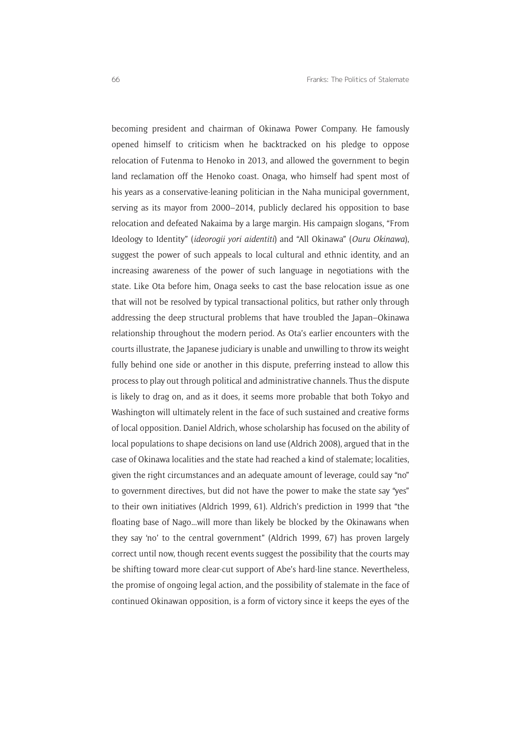becoming president and chairman of Okinawa Power Company. He famously opened himself to criticism when he backtracked on his pledge to oppose relocation of Futenma to Henoko in 2013, and allowed the government to begin land reclamation off the Henoko coast. Onaga, who himself had spent most of his years as a conservative-leaning politician in the Naha municipal government, serving as its mayor from 2000–2014, publicly declared his opposition to base relocation and defeated Nakaima by a large margin. His campaign slogans, "From Ideology to Identity" (*ideorogii yori aidentiti*) and "All Okinawa" (*Ouru Okinawa*), suggest the power of such appeals to local cultural and ethnic identity, and an increasing awareness of the power of such language in negotiations with the state. Like Ota before him, Onaga seeks to cast the base relocation issue as one that will not be resolved by typical transactional politics, but rather only through addressing the deep structural problems that have troubled the Japan–Okinawa relationship throughout the modern period. As Ota's earlier encounters with the courts illustrate, the Japanese judiciary is unable and unwilling to throw its weight fully behind one side or another in this dispute, preferring instead to allow this process to play out through political and administrative channels. Thus the dispute is likely to drag on, and as it does, it seems more probable that both Tokyo and Washington will ultimately relent in the face of such sustained and creative forms of local opposition. Daniel Aldrich, whose scholarship has focused on the ability of local populations to shape decisions on land use (Aldrich 2008), argued that in the case of Okinawa localities and the state had reached a kind of stalemate; localities, given the right circumstances and an adequate amount of leverage, could say "no" to government directives, but did not have the power to make the state say "yes" to their own initiatives (Aldrich 1999, 61). Aldrich's prediction in 1999 that "the floating base of Nago...will more than likely be blocked by the Okinawans when they say 'no' to the central government" (Aldrich 1999, 67) has proven largely correct until now, though recent events suggest the possibility that the courts may be shifting toward more clear-cut support of Abe's hard-line stance. Nevertheless, the promise of ongoing legal action, and the possibility of stalemate in the face of continued Okinawan opposition, is a form of victory since it keeps the eyes of the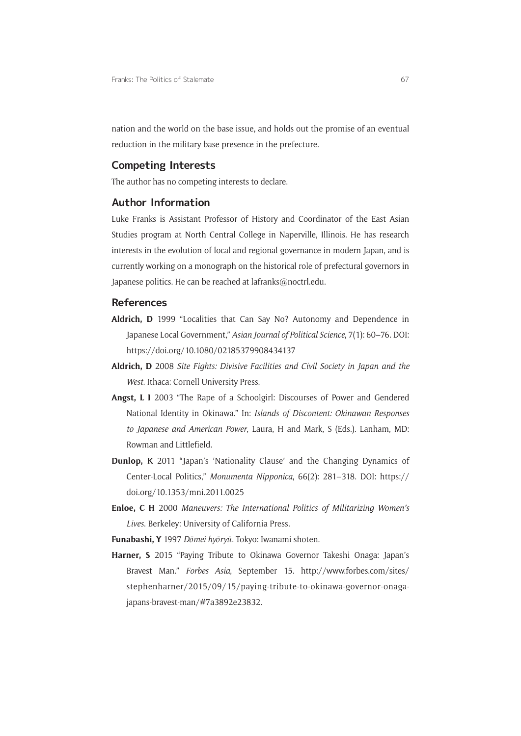nation and the world on the base issue, and holds out the promise of an eventual reduction in the military base presence in the prefecture.

### **Competing Interests**

The author has no competing interests to declare.

## **Author Information**

Luke Franks is Assistant Professor of History and Coordinator of the East Asian Studies program at North Central College in Naperville, Illinois. He has research interests in the evolution of local and regional governance in modern Japan, and is currently working on a monograph on the historical role of prefectural governors in Japanese politics. He can be reached at [lafranks@noctrl.edu](mailto:lafranks@noctrl.edu).

## **References**

- **Aldrich, D** 1999 "Localities that Can Say No? Autonomy and Dependence in Japanese Local Government," *Asian Journal of Political Science*, 7(1): 60–76. DOI: <https://doi.org/10.1080/02185379908434137>
- **Aldrich, D** 2008 *Site Fights: Divisive Facilities and Civil Society in Japan and the West*. Ithaca: Cornell University Press.
- **Angst, L I** 2003 "The Rape of a Schoolgirl: Discourses of Power and Gendered National Identity in Okinawa." In: *Islands of Discontent: Okinawan Responses to Japanese and American Power*, Laura, H and Mark, S (Eds.). Lanham, MD: Rowman and Littlefield.
- **Dunlop, K** 2011 "Japan's 'Nationality Clause' and the Changing Dynamics of Center-Local Politics," *Monumenta Nipponica*, 66(2): 281–318. DOI: [https://](https://doi.org/10.1353/mni.2011.0025) [doi.org/10.1353/mni.2011.0025](https://doi.org/10.1353/mni.2011.0025)
- **Enloe, C H** 2000 *Maneuvers: The International Politics of Militarizing Women's Lives*. Berkeley: University of California Press.
- **Funabashi, Y** 1997 *Dōmei hyōryū*. Tokyo: Iwanami shoten.
- **Harner, S** 2015 "Paying Tribute to Okinawa Governor Takeshi Onaga: Japan's Bravest Man." *Forbes Asia*, September 15. [http://www.forbes.com/sites/](http://www.forbes.com/sites/stephenharner/2015/09/15/paying-tribute-to-okinawa-governor-onaga-japans-bravest-man/#7a3892e23832) [stephenharner/2015/09/15/paying-tribute-to-okinawa-governor-onaga](http://www.forbes.com/sites/stephenharner/2015/09/15/paying-tribute-to-okinawa-governor-onaga-japans-bravest-man/#7a3892e23832)[japans-bravest-man/#7a3892e23832.](http://www.forbes.com/sites/stephenharner/2015/09/15/paying-tribute-to-okinawa-governor-onaga-japans-bravest-man/#7a3892e23832)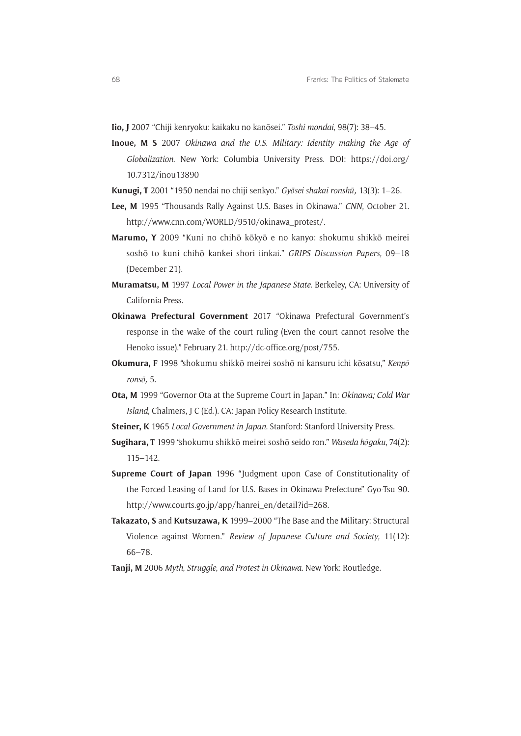**Iio, J** 2007 "Chiji kenryoku: kaikaku no kanōsei." *Toshi mondai*, 98(7): 38–45.

- **Inoue, M S** 2007 *Okinawa and the U*.*S*. *Military: Identity making the Age of Globalization*. New York: Columbia University Press. DOI: [https://doi.org/](https://doi.org/ 10.7312/inou13890) [10.7312/inou13890](https://doi.org/ 10.7312/inou13890)
- **Kunugi, T** 2001 "1950 nendai no chiji senkyo." *Gyōsei shakai ronshū*, 13(3): 1–26.
- **Lee, M** 1995 "Thousands Rally Against U.S. Bases in Okinawa." *CNN*, October 21. [http://www.cnn.com/WORLD/9510/okinawa\\_protest/.](http://www.cnn.com/WORLD/9510/okinawa_protest/)
- **Marumo, Y** 2009 "Kuni no chihō kōkyō e no kanyo: shokumu shikkō meirei soshō to kuni chihō kankei shori iinkai." *GRIPS Discussion Papers*, 09–18 (December 21).
- **Muramatsu, M** 1997 *Local Power in the Japanese State*. Berkeley, CA: University of California Press.
- **Okinawa Prefectural Government** 2017 "Okinawa Prefectural Government's response in the wake of the court ruling (Even the court cannot resolve the Henoko issue)." February 21. [http://dc-office.org/post/755.](http://dc-office.org/post/755)
- **Okumura, F** 1998 "shokumu shikkō meirei soshō ni kansuru ichi kōsatsu," *Kenpō ronsō*, 5.
- **Ota, M** 1999 "Governor Ota at the Supreme Court in Japan." In: *Okinawa; Cold War Island*, Chalmers, J C (Ed.). CA: Japan Policy Research Institute.
- **Steiner, K** 1965 *Local Government in Japan*. Stanford: Stanford University Press.
- **Sugihara, T** 1999 "shokumu shikkō meirei soshō seido ron." *Waseda hōgaku*, 74(2): 115–142.
- **Supreme Court of Japan** 1996 "Judgment upon Case of Constitutionality of the Forced Leasing of Land for U.S. Bases in Okinawa Prefecture" Gyo-Tsu 90. [http://www.courts.go.jp/app/hanrei\\_en/detail?id=268](http://www.courts.go.jp/app/hanrei_en/detail?id=268).
- **Takazato, S** and **Kutsuzawa, K** 1999–2000 "The Base and the Military: Structural Violence against Women." *Review of Japanese Culture and Society*, 11(12): 66–78.
- **Tanji, M** 2006 *Myth*, *Struggle*, *and Protest in Okinawa*. New York: Routledge.